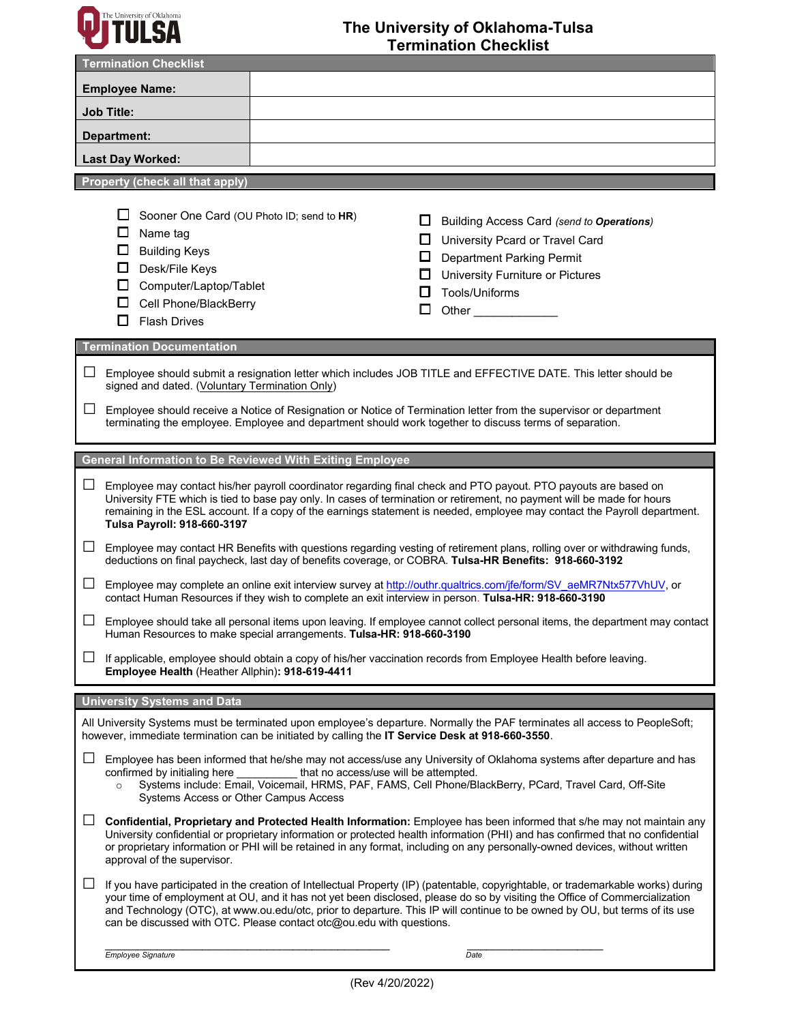

## **The University of Oklahoma-Tulsa Termination Checklist**

| <b>Termination Checklist</b>                                                                                                                                                                                                                                                                                                                                                                                                                                               |                                                                                                                                                                                                       |
|----------------------------------------------------------------------------------------------------------------------------------------------------------------------------------------------------------------------------------------------------------------------------------------------------------------------------------------------------------------------------------------------------------------------------------------------------------------------------|-------------------------------------------------------------------------------------------------------------------------------------------------------------------------------------------------------|
| <b>Employee Name:</b>                                                                                                                                                                                                                                                                                                                                                                                                                                                      |                                                                                                                                                                                                       |
| <b>Job Title:</b>                                                                                                                                                                                                                                                                                                                                                                                                                                                          |                                                                                                                                                                                                       |
| Department:                                                                                                                                                                                                                                                                                                                                                                                                                                                                |                                                                                                                                                                                                       |
| Last Day Worked:                                                                                                                                                                                                                                                                                                                                                                                                                                                           |                                                                                                                                                                                                       |
| <b>Property (check all that apply)</b>                                                                                                                                                                                                                                                                                                                                                                                                                                     |                                                                                                                                                                                                       |
| Sooner One Card (OU Photo ID; send to HR)<br>L.<br>□<br>Name tag<br>$\Box$<br><b>Building Keys</b><br>$\Box$<br>Desk/File Keys<br>□<br>Computer/Laptop/Tablet<br>□<br>Cell Phone/BlackBerry<br><b>Flash Drives</b><br>П                                                                                                                                                                                                                                                    | ப<br>Building Access Card (send to Operations)<br>□ University Pcard or Travel Card<br>□<br><b>Department Parking Permit</b><br>University Furniture or Pictures<br>□<br>Tools/Uniforms<br>□<br>Other |
| <b>Termination Documentation</b>                                                                                                                                                                                                                                                                                                                                                                                                                                           |                                                                                                                                                                                                       |
| ப<br>Employee should submit a resignation letter which includes JOB TITLE and EFFECTIVE DATE. This letter should be<br>signed and dated. (Voluntary Termination Only)                                                                                                                                                                                                                                                                                                      |                                                                                                                                                                                                       |
| $\Box$<br>Employee should receive a Notice of Resignation or Notice of Termination letter from the supervisor or department<br>terminating the employee. Employee and department should work together to discuss terms of separation.                                                                                                                                                                                                                                      |                                                                                                                                                                                                       |
| General Information to Be Reviewed With Exiting Employee                                                                                                                                                                                                                                                                                                                                                                                                                   |                                                                                                                                                                                                       |
| $\Box$<br>Employee may contact his/her payroll coordinator regarding final check and PTO payout. PTO payouts are based on<br>University FTE which is tied to base pay only. In cases of termination or retirement, no payment will be made for hours<br>remaining in the ESL account. If a copy of the earnings statement is needed, employee may contact the Payroll department.<br>Tulsa Payroll: 918-660-3197                                                           |                                                                                                                                                                                                       |
| ⊔<br>Employee may contact HR Benefits with questions regarding vesting of retirement plans, rolling over or withdrawing funds,<br>deductions on final paycheck, last day of benefits coverage, or COBRA. Tulsa-HR Benefits: 918-660-3192                                                                                                                                                                                                                                   |                                                                                                                                                                                                       |
| $\Box$<br>Employee may complete an online exit interview survey at http://outhr.qualtrics.com/jfe/form/SV aeMR7Ntx577VhUV, or<br>contact Human Resources if they wish to complete an exit interview in person. Tulsa-HR: 918-660-3190                                                                                                                                                                                                                                      |                                                                                                                                                                                                       |
| Employee should take all personal items upon leaving. If employee cannot collect personal items, the department may contact<br>Human Resources to make special arrangements. Tulsa-HR: 918-660-3190                                                                                                                                                                                                                                                                        |                                                                                                                                                                                                       |
| If applicable, employee should obtain a copy of his/her vaccination records from Employee Health before leaving.<br>⊔<br>Employee Health (Heather Allphin): 918-619-4411                                                                                                                                                                                                                                                                                                   |                                                                                                                                                                                                       |
| <b>University Systems and Data</b>                                                                                                                                                                                                                                                                                                                                                                                                                                         |                                                                                                                                                                                                       |
| All University Systems must be terminated upon employee's departure. Normally the PAF terminates all access to PeopleSoft;<br>however, immediate termination can be initiated by calling the IT Service Desk at 918-660-3550.                                                                                                                                                                                                                                              |                                                                                                                                                                                                       |
| ப<br>Employee has been informed that he/she may not access/use any University of Oklahoma systems after departure and has<br>that no access/use will be attempted.<br>confirmed by initialing here<br>Systems include: Email, Voicemail, HRMS, PAF, FAMS, Cell Phone/BlackBerry, PCard, Travel Card, Off-Site<br>$\circ$<br>Systems Access or Other Campus Access                                                                                                          |                                                                                                                                                                                                       |
| ப<br>Confidential, Proprietary and Protected Health Information: Employee has been informed that s/he may not maintain any<br>University confidential or proprietary information or protected health information (PHI) and has confirmed that no confidential<br>or proprietary information or PHI will be retained in any format, including on any personally-owned devices, without written<br>approval of the supervisor.                                               |                                                                                                                                                                                                       |
| ⊔<br>If you have participated in the creation of Intellectual Property (IP) (patentable, copyrightable, or trademarkable works) during<br>your time of employment at OU, and it has not yet been disclosed, please do so by visiting the Office of Commercialization<br>and Technology (OTC), at www.ou.edu/otc, prior to departure. This IP will continue to be owned by OU, but terms of its use<br>can be discussed with OTC. Please contact otc@ou.edu with questions. |                                                                                                                                                                                                       |
| Employee Signature                                                                                                                                                                                                                                                                                                                                                                                                                                                         | Date                                                                                                                                                                                                  |